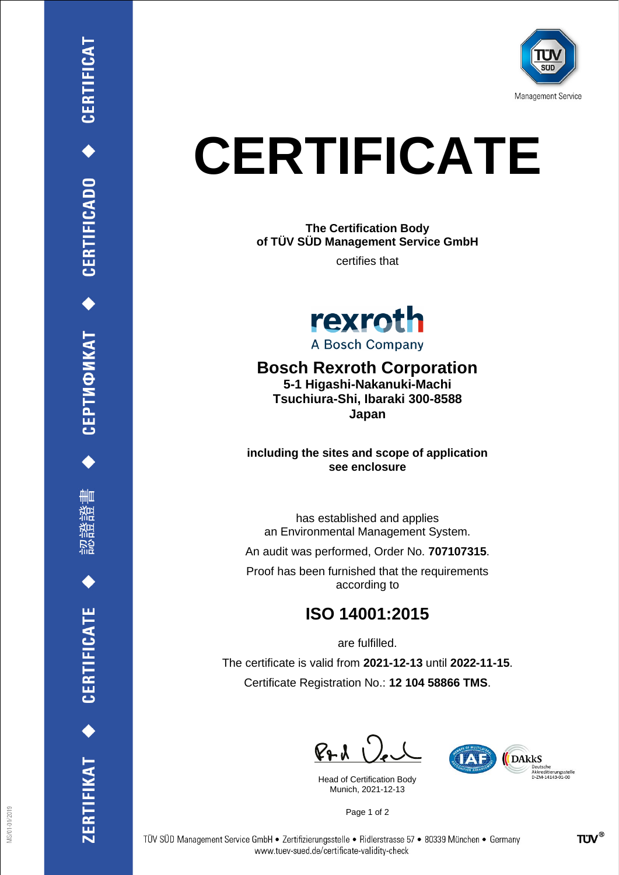

## **CERTIFICATE**

**The Certification Body of TÜV SÜD Management Service GmbH**

certifies that



**Bosch Rexroth Corporation 5-1 Higashi-Nakanuki-Machi Tsuchiura-Shi, Ibaraki 300-8588 Japan**

**including the sites and scope of application see enclosure**

has established and applies an Environmental Management System.

An audit was performed, Order No. **707107315**.

Proof has been furnished that the requirements according to

## **ISO 14001:2015**

are fulfilled.

The certificate is valid from **2021-12-13** until **2022-11-15**. Certificate Registration No.: **12 104 58866 TMS**.

 $PAU$ 

Head of Certification Body Munich, 2021-12-13



Page 1 of 2

删